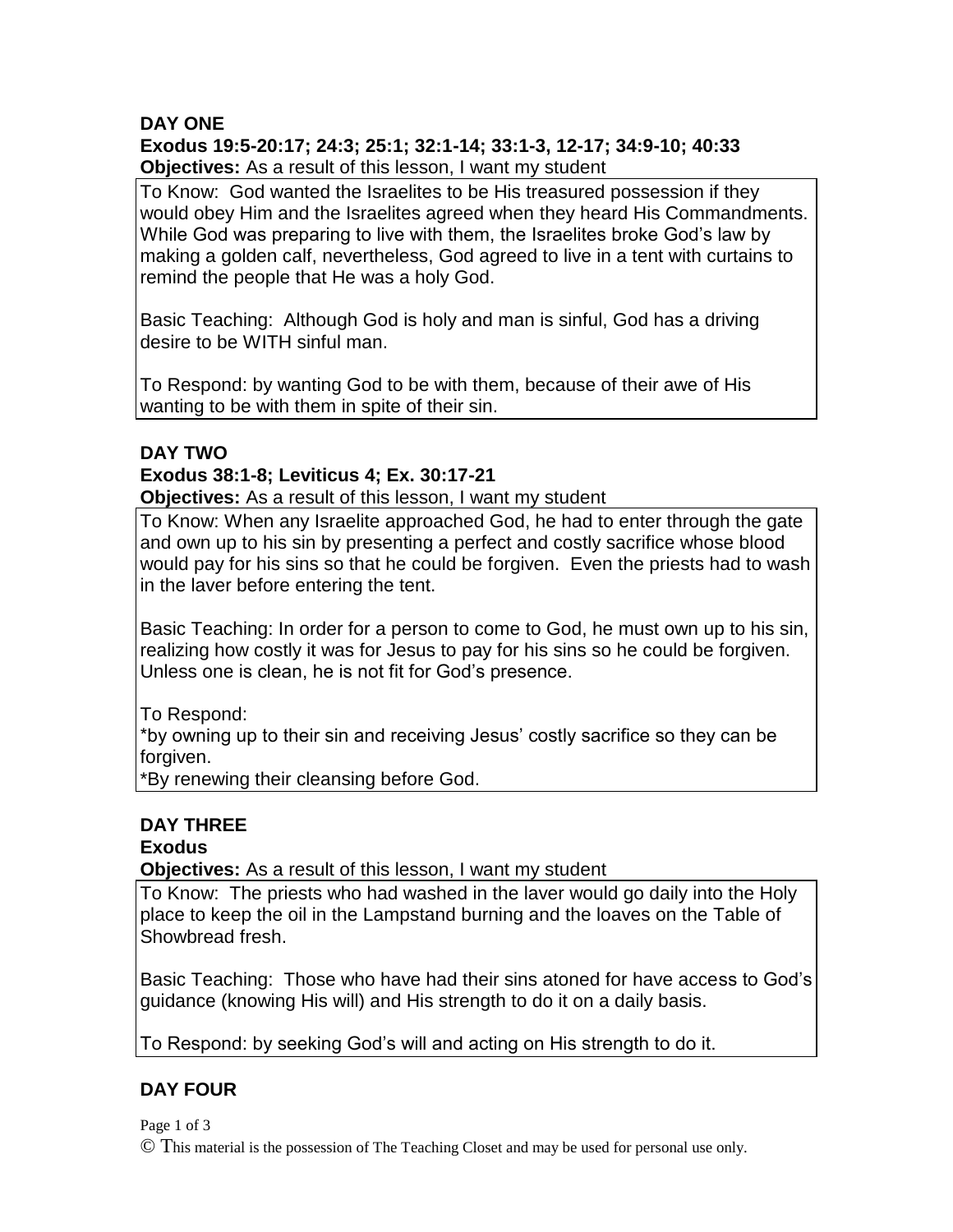# **DAY ONE**

#### **Exodus 19:5-20:17; 24:3; 25:1; 32:1-14; 33:1-3, 12-17; 34:9-10; 40:33 Objectives:** As a result of this lesson, I want my student

To Know: God wanted the Israelites to be His treasured possession if they would obey Him and the Israelites agreed when they heard His Commandments. While God was preparing to live with them, the Israelites broke God's law by making a golden calf, nevertheless, God agreed to live in a tent with curtains to remind the people that He was a holy God.

Basic Teaching: Although God is holy and man is sinful, God has a driving desire to be WITH sinful man.

To Respond: by wanting God to be with them, because of their awe of His wanting to be with them in spite of their sin.

#### **DAY TWO**

#### **Exodus 38:1-8; Leviticus 4; Ex. 30:17-21**

**Objectives:** As a result of this lesson, I want my student

To Know: When any Israelite approached God, he had to enter through the gate and own up to his sin by presenting a perfect and costly sacrifice whose blood would pay for his sins so that he could be forgiven. Even the priests had to wash in the laver before entering the tent.

Basic Teaching: In order for a person to come to God, he must own up to his sin, realizing how costly it was for Jesus to pay for his sins so he could be forgiven. Unless one is clean, he is not fit for God's presence.

To Respond:

\*by owning up to their sin and receiving Jesus' costly sacrifice so they can be forgiven.

\*By renewing their cleansing before God.

# **DAY THREE**

## **Exodus**

**Objectives:** As a result of this lesson, I want my student

To Know: The priests who had washed in the laver would go daily into the Holy place to keep the oil in the Lampstand burning and the loaves on the Table of Showbread fresh.

Basic Teaching: Those who have had their sins atoned for have access to God's guidance (knowing His will) and His strength to do it on a daily basis.

To Respond: by seeking God's will and acting on His strength to do it.

# **DAY FOUR**

Page 1 of 3 © This material is the possession of The Teaching Closet and may be used for personal use only.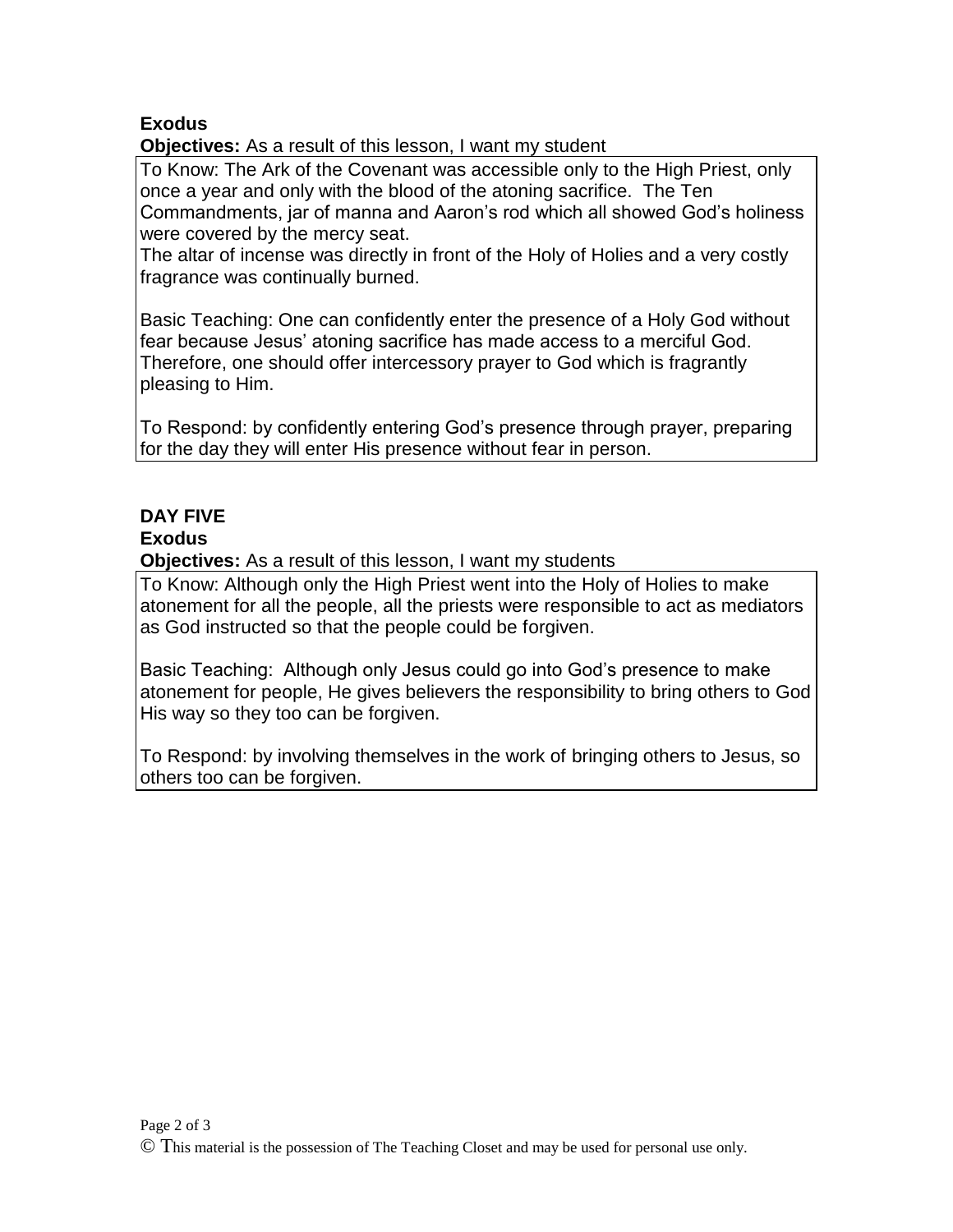# **Exodus**

**Objectives:** As a result of this lesson, I want my student

To Know: The Ark of the Covenant was accessible only to the High Priest, only once a year and only with the blood of the atoning sacrifice. The Ten Commandments, jar of manna and Aaron's rod which all showed God's holiness were covered by the mercy seat.

The altar of incense was directly in front of the Holy of Holies and a very costly fragrance was continually burned.

Basic Teaching: One can confidently enter the presence of a Holy God without fear because Jesus' atoning sacrifice has made access to a merciful God. Therefore, one should offer intercessory prayer to God which is fragrantly pleasing to Him.

To Respond: by confidently entering God's presence through prayer, preparing for the day they will enter His presence without fear in person.

# **DAY FIVE**

# **Exodus**

**Objectives:** As a result of this lesson, I want my students

To Know: Although only the High Priest went into the Holy of Holies to make atonement for all the people, all the priests were responsible to act as mediators as God instructed so that the people could be forgiven.

Basic Teaching: Although only Jesus could go into God's presence to make atonement for people, He gives believers the responsibility to bring others to God His way so they too can be forgiven.

To Respond: by involving themselves in the work of bringing others to Jesus, so others too can be forgiven.